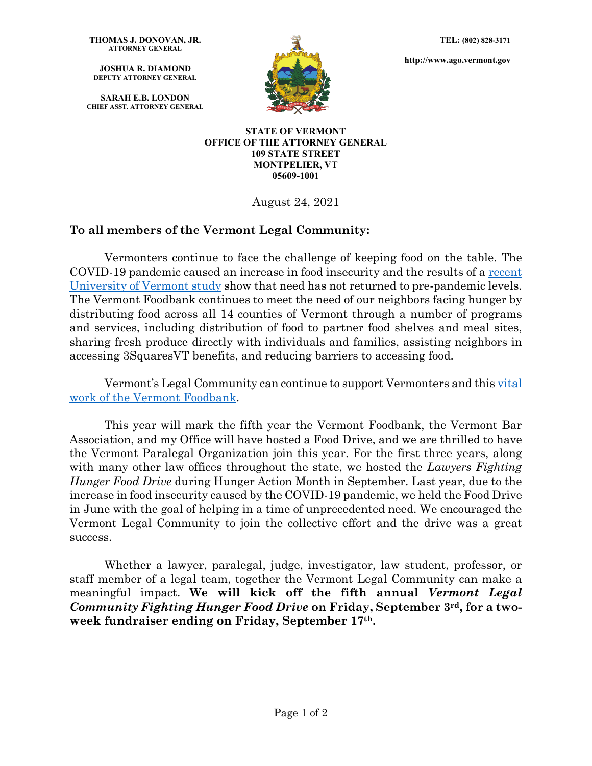**THOMAS J. DONOVAN, JR. ATTORNEY GENERAL**

**JOSHUA R. DIAMOND DEPUTY ATTORNEY GENERAL**

**SARAH E.B. LONDON CHIEF ASST. ATTORNEY GENERAL**



**http://www.ago.vermont.gov**

**STATE OF VERMONT OFFICE OF THE ATTORNEY GENERAL 109 STATE STREET MONTPELIER, VT 05609-1001**

August 24, 2021

## **To all members of the Vermont Legal Community:**

Vermonters continue to face the challenge of keeping food on the table. The COVID-19 pandemic caused an increase in food insecurity and the results of a [recent](https://scholarworks.uvm.edu/cgi/viewcontent.cgi?article=1188&context=calsfac)  [University of Vermont study](https://scholarworks.uvm.edu/cgi/viewcontent.cgi?article=1188&context=calsfac) show that need has not returned to pre-pandemic levels. The Vermont Foodbank continues to meet the need of our neighbors facing hunger by distributing food across all 14 counties of Vermont through a number of programs and services, including distribution of food to partner food shelves and meal sites, sharing fresh produce directly with individuals and families, assisting neighbors in accessing 3SquaresVT benefits, and reducing barriers to accessing food.

Vermont's Legal Community can continue to support Vermonters and this [vital](https://vtdigger.org/2021/08/15/winooski-schools-will-open-free-store-to-improve-access-to-food-clothes-supplies/)  [work of the Vermont Foodbank.](https://vtdigger.org/2021/08/15/winooski-schools-will-open-free-store-to-improve-access-to-food-clothes-supplies/)

This year will mark the fifth year the Vermont Foodbank, the Vermont Bar Association, and my Office will have hosted a Food Drive, and we are thrilled to have the Vermont Paralegal Organization join this year. For the first three years, along with many other law offices throughout the state, we hosted the *Lawyers Fighting Hunger Food Drive* during Hunger Action Month in September. Last year, due to the increase in food insecurity caused by the COVID-19 pandemic, we held the Food Drive in June with the goal of helping in a time of unprecedented need. We encouraged the Vermont Legal Community to join the collective effort and the drive was a great success.

Whether a lawyer, paralegal, judge, investigator, law student, professor, or staff member of a legal team, together the Vermont Legal Community can make a meaningful impact. **We will kick off the fifth annual** *Vermont Legal Community Fighting Hunger Food Drive* **on Friday, September 3rd, for a twoweek fundraiser ending on Friday, September 17th.**